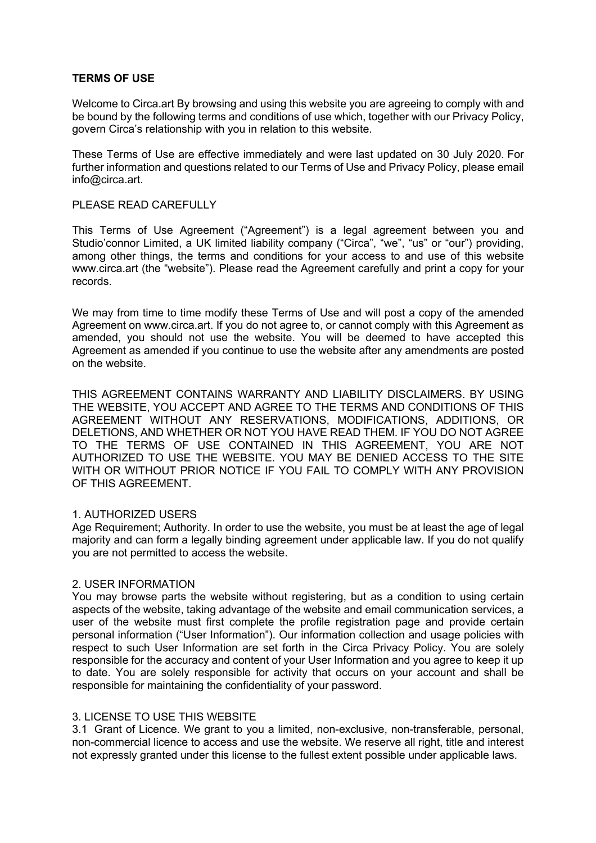## **TERMS OF USE**

Welcome to Circa.art By browsing and using this website you are agreeing to comply with and be bound by the following terms and conditions of use which, together with our Privacy Policy, govern Circa's relationship with you in relation to this website.

These Terms of Use are effective immediately and were last updated on 30 July 2020. For further information and questions related to our Terms of Use and Privacy Policy, please email info@circa.art.

## PLEASE READ CAREFULLY

This Terms of Use Agreement ("Agreement") is a legal agreement between you and Studio'connor Limited, a UK limited liability company ("Circa", "we", "us" or "our") providing, among other things, the terms and conditions for your access to and use of this website www.circa.art (the "website"). Please read the Agreement carefully and print a copy for your records.

We may from time to time modify these Terms of Use and will post a copy of the amended Agreement on www.circa.art. If you do not agree to, or cannot comply with this Agreement as amended, you should not use the website. You will be deemed to have accepted this Agreement as amended if you continue to use the website after any amendments are posted on the website.

THIS AGREEMENT CONTAINS WARRANTY AND LIABILITY DISCLAIMERS. BY USING THE WEBSITE, YOU ACCEPT AND AGREE TO THE TERMS AND CONDITIONS OF THIS AGREEMENT WITHOUT ANY RESERVATIONS, MODIFICATIONS, ADDITIONS, OR DELETIONS, AND WHETHER OR NOT YOU HAVE READ THEM. IF YOU DO NOT AGREE TO THE TERMS OF USE CONTAINED IN THIS AGREEMENT, YOU ARE NOT AUTHORIZED TO USE THE WEBSITE. YOU MAY BE DENIED ACCESS TO THE SITE WITH OR WITHOUT PRIOR NOTICE IF YOU FAIL TO COMPLY WITH ANY PROVISION OF THIS AGREEMENT.

### 1. AUTHORIZED USERS

Age Requirement; Authority. In order to use the website, you must be at least the age of legal majority and can form a legally binding agreement under applicable law. If you do not qualify you are not permitted to access the website.

### 2. USER INFORMATION

You may browse parts the website without registering, but as a condition to using certain aspects of the website, taking advantage of the website and email communication services, a user of the website must first complete the profile registration page and provide certain personal information ("User Information"). Our information collection and usage policies with respect to such User Information are set forth in the Circa Privacy Policy. You are solely responsible for the accuracy and content of your User Information and you agree to keep it up to date. You are solely responsible for activity that occurs on your account and shall be responsible for maintaining the confidentiality of your password.

# 3. LICENSE TO USE THIS WEBSITE

3.1 Grant of Licence. We grant to you a limited, non-exclusive, non-transferable, personal, non-commercial licence to access and use the website. We reserve all right, title and interest not expressly granted under this license to the fullest extent possible under applicable laws.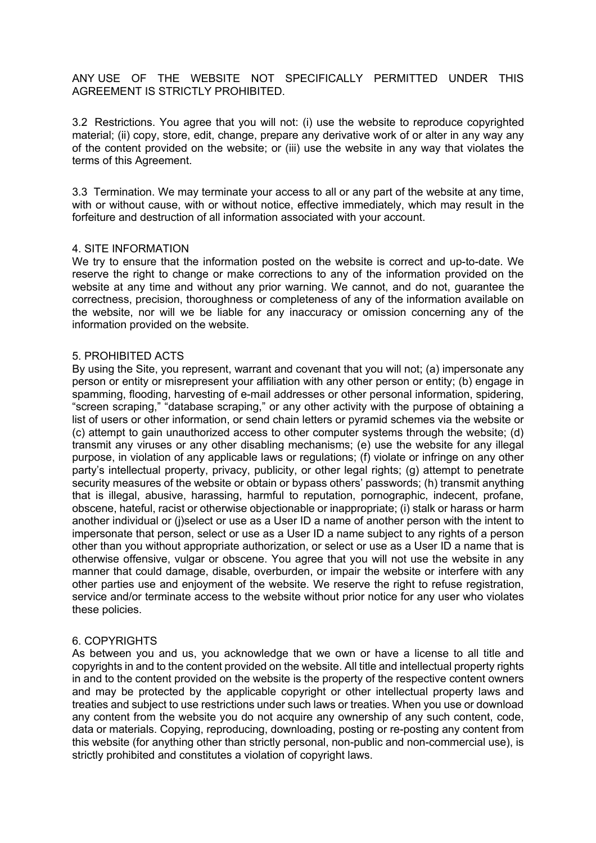ANY USE OF THE WEBSITE NOT SPECIFICALLY PERMITTED UNDER THIS AGREEMENT IS STRICTLY PROHIBITED.

3.2 Restrictions. You agree that you will not: (i) use the website to reproduce copyrighted material; (ii) copy, store, edit, change, prepare any derivative work of or alter in any way any of the content provided on the website; or (iii) use the website in any way that violates the terms of this Agreement.

3.3 Termination. We may terminate your access to all or any part of the website at any time, with or without cause, with or without notice, effective immediately, which may result in the forfeiture and destruction of all information associated with your account.

### 4. SITE INFORMATION

We try to ensure that the information posted on the website is correct and up-to-date. We reserve the right to change or make corrections to any of the information provided on the website at any time and without any prior warning. We cannot, and do not, guarantee the correctness, precision, thoroughness or completeness of any of the information available on the website, nor will we be liable for any inaccuracy or omission concerning any of the information provided on the website.

#### 5. PROHIBITED ACTS

By using the Site, you represent, warrant and covenant that you will not; (a) impersonate any person or entity or misrepresent your affiliation with any other person or entity; (b) engage in spamming, flooding, harvesting of e-mail addresses or other personal information, spidering, "screen scraping," "database scraping," or any other activity with the purpose of obtaining a list of users or other information, or send chain letters or pyramid schemes via the website or (c) attempt to gain unauthorized access to other computer systems through the website; (d) transmit any viruses or any other disabling mechanisms; (e) use the website for any illegal purpose, in violation of any applicable laws or regulations; (f) violate or infringe on any other party's intellectual property, privacy, publicity, or other legal rights; (g) attempt to penetrate security measures of the website or obtain or bypass others' passwords; (h) transmit anything that is illegal, abusive, harassing, harmful to reputation, pornographic, indecent, profane, obscene, hateful, racist or otherwise objectionable or inappropriate; (i) stalk or harass or harm another individual or (j)select or use as a User ID a name of another person with the intent to impersonate that person, select or use as a User ID a name subject to any rights of a person other than you without appropriate authorization, or select or use as a User ID a name that is otherwise offensive, vulgar or obscene. You agree that you will not use the website in any manner that could damage, disable, overburden, or impair the website or interfere with any other parties use and enjoyment of the website. We reserve the right to refuse registration, service and/or terminate access to the website without prior notice for any user who violates these policies.

### 6. COPYRIGHTS

As between you and us, you acknowledge that we own or have a license to all title and copyrights in and to the content provided on the website. All title and intellectual property rights in and to the content provided on the website is the property of the respective content owners and may be protected by the applicable copyright or other intellectual property laws and treaties and subject to use restrictions under such laws or treaties. When you use or download any content from the website you do not acquire any ownership of any such content, code, data or materials. Copying, reproducing, downloading, posting or re-posting any content from this website (for anything other than strictly personal, non-public and non-commercial use), is strictly prohibited and constitutes a violation of copyright laws.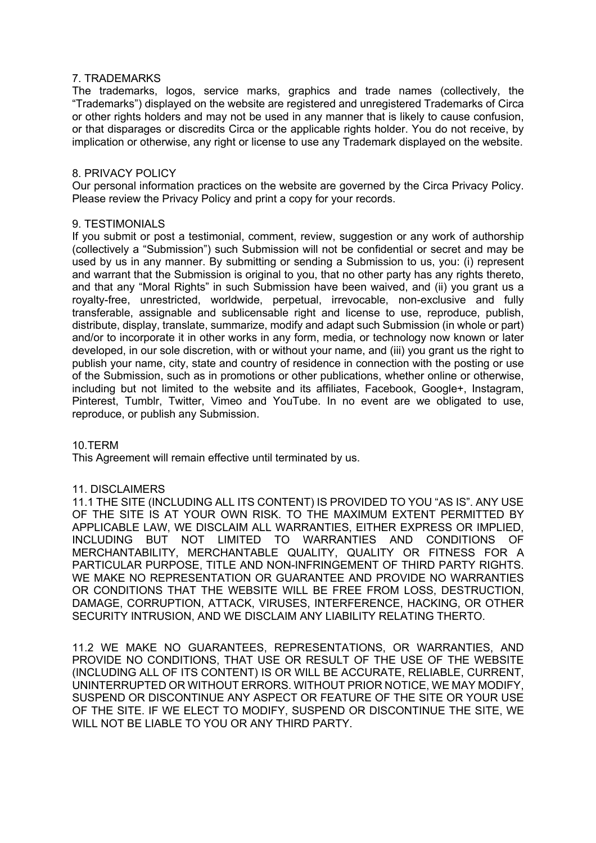## 7. TRADEMARKS

The trademarks, logos, service marks, graphics and trade names (collectively, the "Trademarks") displayed on the website are registered and unregistered Trademarks of Circa or other rights holders and may not be used in any manner that is likely to cause confusion, or that disparages or discredits Circa or the applicable rights holder. You do not receive, by implication or otherwise, any right or license to use any Trademark displayed on the website.

## 8. PRIVACY POLICY

Our personal information practices on the website are governed by the Circa Privacy Policy. Please review the Privacy Policy and print a copy for your records.

### 9. TESTIMONIALS

If you submit or post a testimonial, comment, review, suggestion or any work of authorship (collectively a "Submission") such Submission will not be confidential or secret and may be used by us in any manner. By submitting or sending a Submission to us, you: (i) represent and warrant that the Submission is original to you, that no other party has any rights thereto, and that any "Moral Rights" in such Submission have been waived, and (ii) you grant us a royalty-free, unrestricted, worldwide, perpetual, irrevocable, non-exclusive and fully transferable, assignable and sublicensable right and license to use, reproduce, publish, distribute, display, translate, summarize, modify and adapt such Submission (in whole or part) and/or to incorporate it in other works in any form, media, or technology now known or later developed, in our sole discretion, with or without your name, and (iii) you grant us the right to publish your name, city, state and country of residence in connection with the posting or use of the Submission, such as in promotions or other publications, whether online or otherwise, including but not limited to the website and its affiliates, Facebook, Google+, Instagram, Pinterest, Tumblr, Twitter, Vimeo and YouTube. In no event are we obligated to use, reproduce, or publish any Submission.

### 10.TERM

This Agreement will remain effective until terminated by us.

### 11. DISCLAIMERS

11.1 THE SITE (INCLUDING ALL ITS CONTENT) IS PROVIDED TO YOU "AS IS". ANY USE OF THE SITE IS AT YOUR OWN RISK. TO THE MAXIMUM EXTENT PERMITTED BY APPLICABLE LAW, WE DISCLAIM ALL WARRANTIES, EITHER EXPRESS OR IMPLIED, INCLUDING BUT NOT LIMITED TO WARRANTIES AND CONDITIONS OF MERCHANTABILITY, MERCHANTABLE QUALITY, QUALITY OR FITNESS FOR A PARTICULAR PURPOSE, TITLE AND NON-INFRINGEMENT OF THIRD PARTY RIGHTS. WE MAKE NO REPRESENTATION OR GUARANTEE AND PROVIDE NO WARRANTIES OR CONDITIONS THAT THE WEBSITE WILL BE FREE FROM LOSS, DESTRUCTION, DAMAGE, CORRUPTION, ATTACK, VIRUSES, INTERFERENCE, HACKING, OR OTHER SECURITY INTRUSION, AND WE DISCLAIM ANY LIABILITY RELATING THERTO.

11.2 WE MAKE NO GUARANTEES, REPRESENTATIONS, OR WARRANTIES, AND PROVIDE NO CONDITIONS, THAT USE OR RESULT OF THE USE OF THE WEBSITE (INCLUDING ALL OF ITS CONTENT) IS OR WILL BE ACCURATE, RELIABLE, CURRENT, UNINTERRUPTED OR WITHOUT ERRORS. WITHOUT PRIOR NOTICE, WE MAY MODIFY, SUSPEND OR DISCONTINUE ANY ASPECT OR FEATURE OF THE SITE OR YOUR USE OF THE SITE. IF WE ELECT TO MODIFY, SUSPEND OR DISCONTINUE THE SITE, WE WILL NOT BE LIABLE TO YOU OR ANY THIRD PARTY.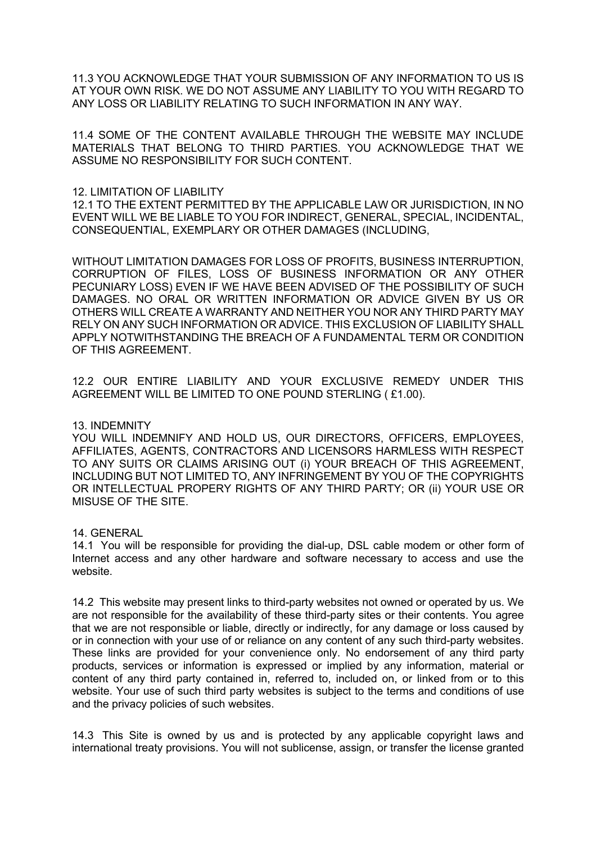11.3 YOU ACKNOWLEDGE THAT YOUR SUBMISSION OF ANY INFORMATION TO US IS AT YOUR OWN RISK. WE DO NOT ASSUME ANY LIABILITY TO YOU WITH REGARD TO ANY LOSS OR LIABILITY RELATING TO SUCH INFORMATION IN ANY WAY.

11.4 SOME OF THE CONTENT AVAILABLE THROUGH THE WEBSITE MAY INCLUDE MATERIALS THAT BELONG TO THIRD PARTIES. YOU ACKNOWLEDGE THAT WE ASSUME NO RESPONSIBILITY FOR SUCH CONTENT.

### 12. LIMITATION OF LIABILITY

12.1 TO THE EXTENT PERMITTED BY THE APPLICABLE LAW OR JURISDICTION, IN NO EVENT WILL WE BE LIABLE TO YOU FOR INDIRECT, GENERAL, SPECIAL, INCIDENTAL, CONSEQUENTIAL, EXEMPLARY OR OTHER DAMAGES (INCLUDING,

WITHOUT LIMITATION DAMAGES FOR LOSS OF PROFITS, BUSINESS INTERRUPTION, CORRUPTION OF FILES, LOSS OF BUSINESS INFORMATION OR ANY OTHER PECUNIARY LOSS) EVEN IF WE HAVE BEEN ADVISED OF THE POSSIBILITY OF SUCH DAMAGES. NO ORAL OR WRITTEN INFORMATION OR ADVICE GIVEN BY US OR OTHERS WILL CREATE A WARRANTY AND NEITHER YOU NOR ANY THIRD PARTY MAY RELY ON ANY SUCH INFORMATION OR ADVICE. THIS EXCLUSION OF LIABILITY SHALL APPLY NOTWITHSTANDING THE BREACH OF A FUNDAMENTAL TERM OR CONDITION OF THIS AGREEMENT.

12.2 OUR ENTIRE LIABILITY AND YOUR EXCLUSIVE REMEDY UNDER THIS AGREEMENT WILL BE LIMITED TO ONE POUND STERLING ( £1.00).

### 13. INDEMNITY

YOU WILL INDEMNIFY AND HOLD US, OUR DIRECTORS, OFFICERS, EMPLOYEES, AFFILIATES, AGENTS, CONTRACTORS AND LICENSORS HARMLESS WITH RESPECT TO ANY SUITS OR CLAIMS ARISING OUT (i) YOUR BREACH OF THIS AGREEMENT, INCLUDING BUT NOT LIMITED TO, ANY INFRINGEMENT BY YOU OF THE COPYRIGHTS OR INTELLECTUAL PROPERY RIGHTS OF ANY THIRD PARTY; OR (ii) YOUR USE OR MISUSE OF THE SITE.

# 14. GENERAL

14.1 You will be responsible for providing the dial-up, DSL cable modem or other form of Internet access and any other hardware and software necessary to access and use the website.

14.2 This website may present links to third-party websites not owned or operated by us. We are not responsible for the availability of these third-party sites or their contents. You agree that we are not responsible or liable, directly or indirectly, for any damage or loss caused by or in connection with your use of or reliance on any content of any such third-party websites. These links are provided for your convenience only. No endorsement of any third party products, services or information is expressed or implied by any information, material or content of any third party contained in, referred to, included on, or linked from or to this website. Your use of such third party websites is subject to the terms and conditions of use and the privacy policies of such websites.

14.3 This Site is owned by us and is protected by any applicable copyright laws and international treaty provisions. You will not sublicense, assign, or transfer the license granted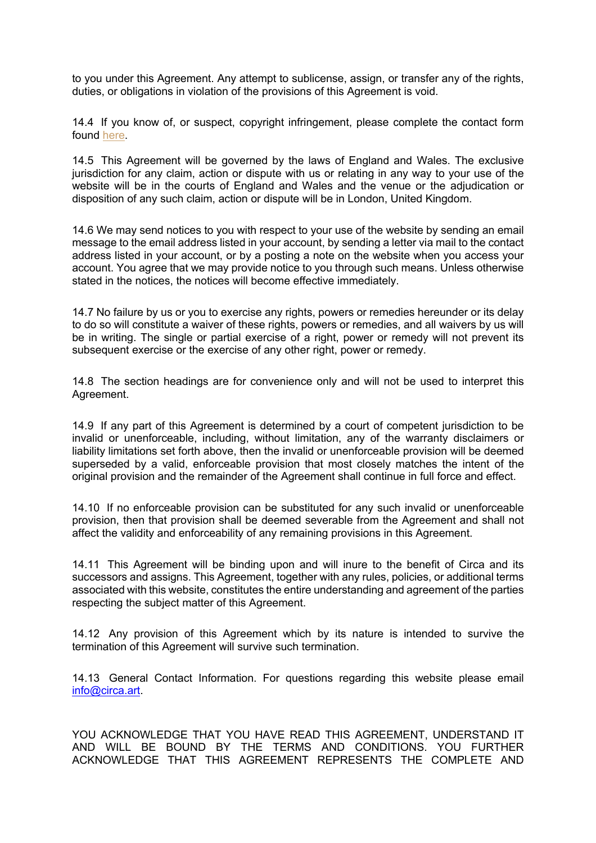to you under this Agreement. Any attempt to sublicense, assign, or transfer any of the rights, duties, or obligations in violation of the provisions of this Agreement is void.

14.4 If you know of, or suspect, copyright infringement, please complete the contact form found here.

14.5 This Agreement will be governed by the laws of England and Wales. The exclusive jurisdiction for any claim, action or dispute with us or relating in any way to your use of the website will be in the courts of England and Wales and the venue or the adjudication or disposition of any such claim, action or dispute will be in London, United Kingdom.

14.6 We may send notices to you with respect to your use of the website by sending an email message to the email address listed in your account, by sending a letter via mail to the contact address listed in your account, or by a posting a note on the website when you access your account. You agree that we may provide notice to you through such means. Unless otherwise stated in the notices, the notices will become effective immediately.

14.7 No failure by us or you to exercise any rights, powers or remedies hereunder or its delay to do so will constitute a waiver of these rights, powers or remedies, and all waivers by us will be in writing. The single or partial exercise of a right, power or remedy will not prevent its subsequent exercise or the exercise of any other right, power or remedy.

14.8 The section headings are for convenience only and will not be used to interpret this Agreement.

14.9 If any part of this Agreement is determined by a court of competent jurisdiction to be invalid or unenforceable, including, without limitation, any of the warranty disclaimers or liability limitations set forth above, then the invalid or unenforceable provision will be deemed superseded by a valid, enforceable provision that most closely matches the intent of the original provision and the remainder of the Agreement shall continue in full force and effect.

14.10 If no enforceable provision can be substituted for any such invalid or unenforceable provision, then that provision shall be deemed severable from the Agreement and shall not affect the validity and enforceability of any remaining provisions in this Agreement.

14.11 This Agreement will be binding upon and will inure to the benefit of Circa and its successors and assigns. This Agreement, together with any rules, policies, or additional terms associated with this website, constitutes the entire understanding and agreement of the parties respecting the subject matter of this Agreement.

14.12 Any provision of this Agreement which by its nature is intended to survive the termination of this Agreement will survive such termination.

14.13 General Contact Information. For questions regarding this website please email info@circa.art.

YOU ACKNOWLEDGE THAT YOU HAVE READ THIS AGREEMENT, UNDERSTAND IT AND WILL BE BOUND BY THE TERMS AND CONDITIONS. YOU FURTHER ACKNOWLEDGE THAT THIS AGREEMENT REPRESENTS THE COMPLETE AND